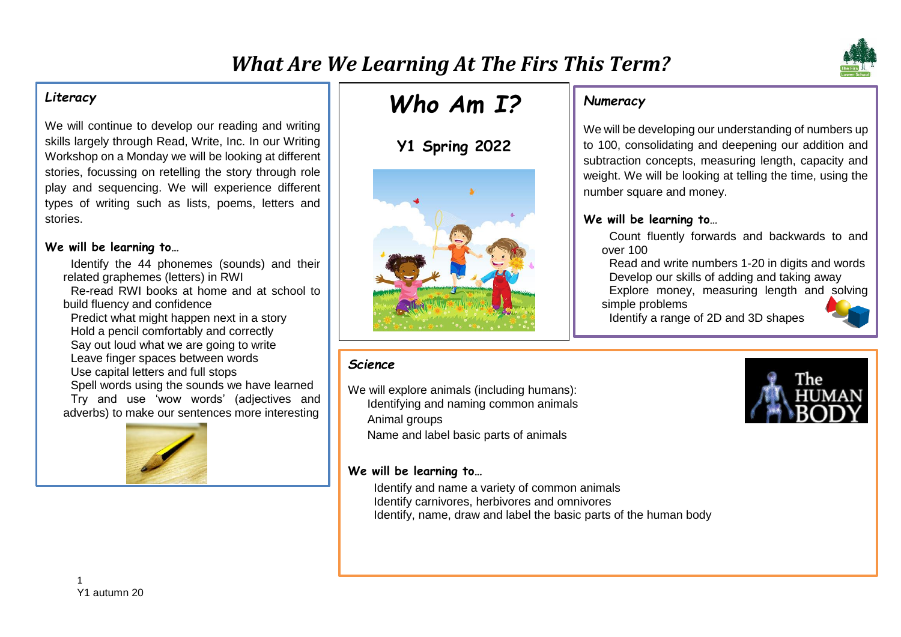

We will continue to develop our reading and writing skills largely through Read, Write, Inc. In our Writing Workshop on a Monday we will be looking at different stories, focussing on retelling the story through role play and sequencing. We will experience different types of writing such as lists, poems, letters and stories.

#### **We will be learning to…**

- Identify the 44 phonemes (sounds) and their related graphemes (letters) in RWI Re-read RWI books at home and at school to build fluency and confidence
- Predict what might happen next in a story Hold a pencil comfortably and correctly Say out loud what we are going to write Leave finger spaces between words Use capital letters and full stops Spell words using the sounds we have learned Try and use 'wow words' (adjectives and

adverbs) to make our sentences more interesting



# *Who Am I?*

## **Y1 Spring 2022**



## *Numeracy*

We will be developing our understanding of numbers up to 100, consolidating and deepening our addition and subtraction concepts, measuring length, capacity and weight. We will be looking at telling the time, using the number square and money.

## **We will be learning to…**

Count fluently forwards and backwards to and over 100

Read and write numbers 1-20 in digits and words Develop our skills of adding and taking away

Explore money, measuring length and solving simple problems

Identify a range of 2D and 3D shapes



### *Science*

We will explore animals (including humans): Identifying and naming common animals Animal groups

Name and label basic parts of animals

#### **We will be learning to…**

Identify and name a variety of common animals Identify carnivores, herbivores and omnivores Identify, name, draw and label the basic parts of the human body

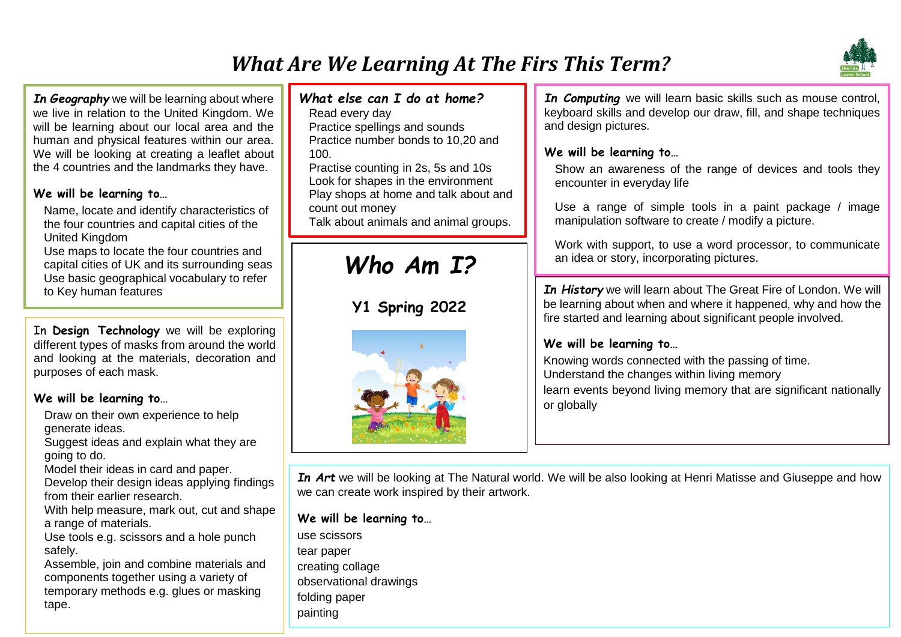## *What Are We Learning At The Firs This Term?*



*In Geography* we will be learning about where we live in relation to the United Kingdom. We will be learning about our local area and the human and physical features within our area. We will be looking at creating a leaflet about the 4 countries and the landmarks they have.

### **We will be learning to…**

Name, locate and identify characteristics of the four countries and capital cities of the United Kingdom

Use maps to locate the four countries and capital cities of UK and its surrounding seas Use basic geographical vocabulary to refer to Key human features

In **Design Technology** we will be exploring different types of masks from around the world and looking at the materials, decoration and purposes of each mask.

### **We will be learning to…**

Draw on their own experience to help generate ideas.

Suggest ideas and explain what they are going to do.

Model their ideas in card and paper.

Develop their design ideas applying findings from their earlier research.

With help measure, mark out, cut and shape a range of materials.

Use tools e.g. scissors and a hole punch safely.

2 components together using a variety of temporary methods e.g. glues or masking Assemble, join and combine materials and tape.

## *What else can I do at home?*

Read every day Practice spellings and sounds Practice number bonds to 10,20 and 100.

Practise counting in 2s, 5s and 10s Look for shapes in the environment Play shops at home and talk about and count out money Talk about animals and animal groups.

# *Who Am I?*

**Y1 Spring 2022**



*In Computing* we will learn basic skills such as mouse control, keyboard skills and develop our draw, fill, and shape techniques and design pictures.

## **We will be learning to…**

Show an awareness of the range of devices and tools they encounter in everyday life

Use a range of simple tools in a paint package / image manipulation software to create / modify a picture.

Work with support, to use a word processor, to communicate an idea or story, incorporating pictures.

*In History* we will learn about The Great Fire of London. We will be learning about when and where it happened, why and how the fire started and learning about significant people involved.

## **We will be learning to…**

Knowing words connected with the passing of time. Understand the changes within living memory learn events beyond living memory that are significant nationally or globally

*In Art* we will be looking at The Natural world. We will be also looking at Henri Matisse and Giuseppe and how we can create work inspired by their artwork.

**We will be learning to…**

use scissors tear paper creating collage observational drawings folding paper painting